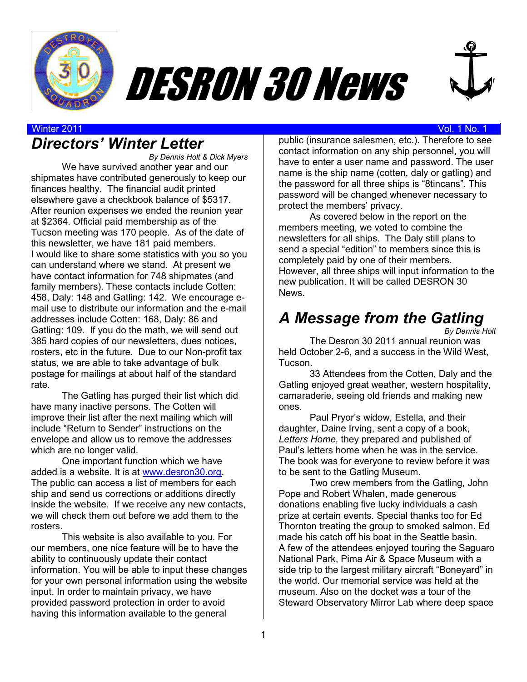





#### Winter 2011 Vol. 1 No. 1

## *Directors' Winter Letter*

*By Dennis Holt & Dick Myers*  We have survived another year and our shipmates have contributed generously to keep our finances healthy. The financial audit printed elsewhere gave a checkbook balance of \$5317. After reunion expenses we ended the reunion year at \$2364. Official paid membership as of the Tucson meeting was 170 people. As of the date of this newsletter, we have 181 paid members. I would like to share some statistics with you so you can understand where we stand. At present we have contact information for 748 shipmates (and family members). These contacts include Cotten: 458, Daly: 148 and Gatling: 142. We encourage email use to distribute our information and the e-mail addresses include Cotten: 168, Daly: 86 and Gatling: 109. If you do the math, we will send out 385 hard copies of our newsletters, dues notices, rosters, etc in the future. Due to our Non-profit tax status, we are able to take advantage of bulk postage for mailings at about half of the standard rate.

The Gatling has purged their list which did have many inactive persons. The Cotten will improve their list after the next mailing which will include "Return to Sender" instructions on the envelope and allow us to remove the addresses which are no longer valid.

One important function which we have added is a website. It is at www.desron30.org. The public can access a list of members for each ship and send us corrections or additions directly inside the website. If we receive any new contacts, we will check them out before we add them to the rosters.

 This website is also available to you. For our members, one nice feature will be to have the ability to continuously update their contact information. You will be able to input these changes for your own personal information using the website input. In order to maintain privacy, we have provided password protection in order to avoid having this information available to the general

public (insurance salesmen, etc.). Therefore to see contact information on any ship personnel, you will have to enter a user name and password. The user name is the ship name (cotten, daly or gatling) and the password for all three ships is "8tincans". This password will be changed whenever necessary to protect the members' privacy.

 As covered below in the report on the members meeting, we voted to combine the newsletters for all ships. The Daly still plans to send a special "edition" to members since this is completely paid by one of their members. However, all three ships will input information to the new publication. It will be called DESRON 30 **News** 

# *A Message from the Gatling*

*By Dennis Holt*

The Desron 30 2011 annual reunion was held October 2-6, and a success in the Wild West. Tucson.

33 Attendees from the Cotten, Daly and the Gatling enjoyed great weather, western hospitality, camaraderie, seeing old friends and making new ones.

Paul Pryor's widow, Estella, and their daughter, Daine Irving, sent a copy of a book, *Letters Home,* they prepared and published of Paul's letters home when he was in the service. The book was for everyone to review before it was to be sent to the Gatling Museum.

Two crew members from the Gatling, John Pope and Robert Whalen, made generous donations enabling five lucky individuals a cash prize at certain events. Special thanks too for Ed Thornton treating the group to smoked salmon. Ed made his catch off his boat in the Seattle basin. A few of the attendees enjoyed touring the Saguaro National Park, Pima Air & Space Museum with a side trip to the largest military aircraft "Boneyard" in the world. Our memorial service was held at the museum. Also on the docket was a tour of the Steward Observatory Mirror Lab where deep space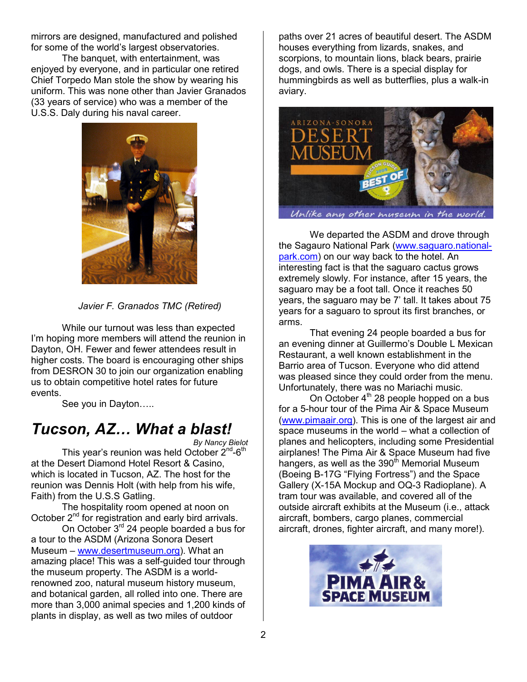mirrors are designed, manufactured and polished for some of the world's largest observatories.

The banquet, with entertainment, was enjoyed by everyone, and in particular one retired Chief Torpedo Man stole the show by wearing his uniform. This was none other than Javier Granados (33 years of service) who was a member of the U.S.S. Daly during his naval career.



*Javier F. Granados TMC (Retired)* 

While our turnout was less than expected I'm hoping more members will attend the reunion in Dayton, OH. Fewer and fewer attendees result in higher costs. The board is encouraging other ships from DESRON 30 to join our organization enabling us to obtain competitive hotel rates for future events.

See you in Dayton.....

## **Tucson, AZ... What a blast!**

*By Nancy Bielot* 

This year's reunion was held October 2<sup>nd</sup>-6<sup>th</sup> at the Desert Diamond Hotel Resort & Casino, which is located in Tucson, AZ. The host for the reunion was Dennis Holt (with help from his wife, Faith) from the U.S.S Gatling.

The hospitality room opened at noon on October 2<sup>nd</sup> for registration and early bird arrivals.

On October 3<sup>rd</sup> 24 people boarded a bus for a tour to the ASDM (Arizona Sonora Desert Museum – www.desertmuseum.org). What an amazing place! This was a self-guided tour through the museum property. The ASDM is a worldrenowned zoo, natural museum history museum, and botanical garden, all rolled into one. There are more than 3,000 animal species and 1,200 kinds of plants in display, as well as two miles of outdoor

paths over 21 acres of beautiful desert. The ASDM houses everything from lizards, snakes, and scorpions, to mountain lions, black bears, prairie dogs, and owls. There is a special display for hummingbirds as well as butterflies, plus a walk-in aviary.



 We departed the ASDM and drove through the Sagauro National Park (www.saguaro.nationalpark.com) on our way back to the hotel. An interesting fact is that the saguaro cactus grows extremely slowly. For instance, after 15 years, the saguaro may be a foot tall. Once it reaches 50 years, the saguaro may be 7' tall. It takes about 75 years for a saguaro to sprout its first branches, or arms.

 That evening 24 people boarded a bus for an evening dinner at Guillermo's Double L Mexican Restaurant, a well known establishment in the Barrio area of Tucson. Everyone who did attend was pleased since they could order from the menu. Unfortunately, there was no Mariachi music.

On October  $4<sup>th</sup>$  28 people hopped on a bus for a 5-hour tour of the Pima Air & Space Museum (www.pimaair.org). This is one of the largest air and space museums in the world – what a collection of planes and helicopters, including some Presidential airplanes! The Pima Air & Space Museum had five hangers, as well as the  $390<sup>th</sup>$  Memorial Museum (Boeing B-17G "Flying Fortress") and the Space Gallery (X-15A Mockup and OQ-3 Radioplane). A tram tour was available, and covered all of the outside aircraft exhibits at the Museum (i.e., attack aircraft, bombers, cargo planes, commercial aircraft, drones, fighter aircraft, and many more!).

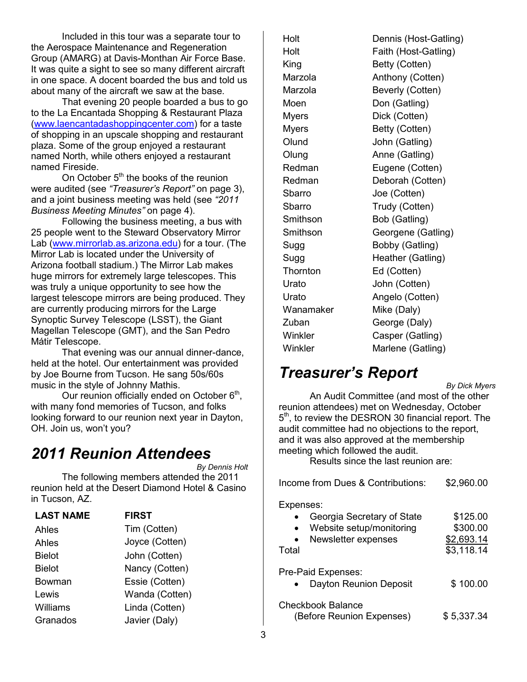Included in this tour was a separate tour to the Aerospace Maintenance and Regeneration Group (AMARG) at Davis-Monthan Air Force Base. It was quite a sight to see so many different aircraft in one space. A docent boarded the bus and told us about many of the aircraft we saw at the base.

That evening 20 people boarded a bus to go to the La Encantada Shopping & Restaurant Plaza (www.laencantadashoppingcenter.com) for a taste of shopping in an upscale shopping and restaurant plaza. Some of the group enjoyed a restaurant named North, while others enjoyed a restaurant named Fireside.

On October  $5<sup>th</sup>$  the books of the reunion were audited (see *"Treasurer's Report"* on page 3), and a joint business meeting was held (see *"2011 Business Meeting Minutes"* on page 4).

 Following the business meeting, a bus with 25 people went to the Steward Observatory Mirror Lab (www.mirrorlab.as.arizona.edu) for a tour. (The Mirror Lab is located under the University of Arizona football stadium.) The Mirror Lab makes huge mirrors for extremely large telescopes. This was truly a unique opportunity to see how the largest telescope mirrors are being produced. They are currently producing mirrors for the Large Synoptic Survey Telescope (LSST), the Giant Magellan Telescope (GMT), and the San Pedro Mátir Telescope.

 That evening was our annual dinner-dance, held at the hotel. Our entertainment was provided by Joe Bourne from Tucson. He sang 50s/60s music in the style of Johnny Mathis.

Our reunion officially ended on October  $6<sup>th</sup>$ , with many fond memories of Tucson, and folks looking forward to our reunion next year in Dayton, OH. Join us, won't you?

## *2011 Reunion Attendees*

*By Dennis Holt* 

 The following members attended the 2011 reunion held at the Desert Diamond Hotel & Casino in Tucson, AZ.

| <b>LAST NAME</b> | <b>FIRST</b>   |
|------------------|----------------|
| Ahles            | Tim (Cotten)   |
| Ahles            | Joyce (Cotten) |
| <b>Bielot</b>    | John (Cotten)  |
| <b>Bielot</b>    | Nancy (Cotten) |
| Bowman           | Essie (Cotten) |
| Lewis            | Wanda (Cotten) |
| Williams         | Linda (Cotten) |
| Granados         | Javier (Daly)  |

Wanamaker Mike (Daly)

Holt Dennis (Host-Gatling) Holt Faith (Host-Gatling) King Betty (Cotten) Marzola **Anthony (Cotten)** Marzola Beverly (Cotten) Moen Don (Gatling) Myers Dick (Cotten) Myers Betty (Cotten) Olund John (Gatling) Olung Anne (Gatling) Redman Eugene (Cotten) Redman Deborah (Cotten) Sbarro Joe (Cotten) Sbarro Trudy (Cotten) Smithson Bob (Gatling) Smithson Georgene (Gatling) Sugg Bobby (Gatling) Sugg Heather (Gatling) Thornton Ed (Cotten) Urato John (Cotten) Urato Angelo (Cotten) Zuban George (Daly) Winkler Casper (Gatling) Winkler Marlene (Gatling)

# *Treasurer's Report*

*By Dick Myers* 

An Audit Committee (and most of the other reunion attendees) met on Wednesday, October 5<sup>th</sup>, to review the DESRON 30 financial report. The audit committee had no objections to the report, and it was also approved at the membership meeting which followed the audit.

Results since the last reunion are:

| Income from Dues & Contributions:                                                                   | \$2,960.00                                       |
|-----------------------------------------------------------------------------------------------------|--------------------------------------------------|
| Expenses:<br>Georgia Secretary of State<br>Website setup/monitoring<br>Newsletter expenses<br>Total | \$125.00<br>\$300.00<br>\$2,693.14<br>\$3,118.14 |
| Pre-Paid Expenses:<br>Dayton Reunion Deposit                                                        | \$100.00                                         |
| <b>Checkbook Balance</b><br>(Before Reunion Expenses)                                               | \$5,337.34                                       |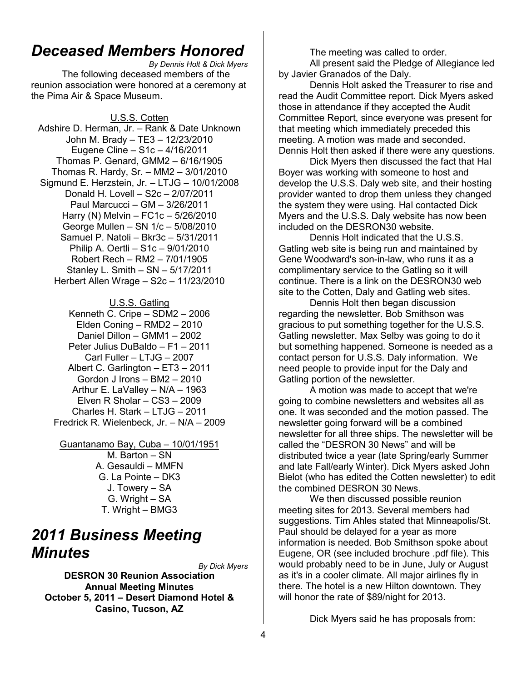### *Deceased Members Honored*

*By Dennis Holt & Dick Myers*  The following deceased members of the reunion association were honored at a ceremony at the Pima Air & Space Museum.

U.S.S. Cotten Adshire D. Herman, Jr. – Rank & Date Unknown John M. Brady – TE3 – 12/23/2010 Eugene Cline – S1c – 4/16/2011 Thomas P. Genard, GMM2 – 6/16/1905 Thomas R. Hardy, Sr. – MM2 – 3/01/2010 Sigmund E. Herzstein, Jr. – LTJG – 10/01/2008 Donald H. Lovell – S2c – 2/07/2011 Paul Marcucci – GM – 3/26/2011 Harry (N) Melvin – FC1c – 5/26/2010 George Mullen – SN 1/c – 5/08/2010 Samuel P. Natoli – Bkr3c – 5/31/2011 Philip A. Oertli – S1c – 9/01/2010 Robert Rech – RM2 – 7/01/1905 Stanley L. Smith – SN – 5/17/2011 Herbert Allen Wrage – S2c – 11/23/2010

#### U.S.S. Gatling

Kenneth C. Cripe – SDM2 – 2006 Elden Coning – RMD2 – 2010 Daniel Dillon – GMM1 – 2002 Peter Julius DuBaldo – F1 – 2011 Carl Fuller – LTJG – 2007 Albert C. Garlington – ET3 – 2011 Gordon J Irons – BM2 – 2010 Arthur E. LaValley – N/A – 1963 Elven R Sholar – CS3 – 2009 Charles H. Stark – LTJG – 2011 Fredrick R. Wielenbeck, Jr. – N/A – 2009

Guantanamo Bay, Cuba – 10/01/1951 M. Barton – SN A. Gesauldi – MMFN G. La Pointe – DK3 J. Towery – SA G. Wright – SA T. Wright – BMG3

#### *2011 Business Meeting Minutes*

*By Dick Myers* 

**DESRON 30 Reunion Association Annual Meeting Minutes October 5, 2011 – Desert Diamond Hotel & Casino, Tucson, AZ** 

The meeting was called to order.

All present said the Pledge of Allegiance led by Javier Granados of the Daly.

 Dennis Holt asked the Treasurer to rise and read the Audit Committee report. Dick Myers asked those in attendance if they accepted the Audit Committee Report, since everyone was present for that meeting which immediately preceded this meeting. A motion was made and seconded. Dennis Holt then asked if there were any questions.

 Dick Myers then discussed the fact that Hal Boyer was working with someone to host and develop the U.S.S. Daly web site, and their hosting provider wanted to drop them unless they changed the system they were using. Hal contacted Dick Myers and the U.S.S. Daly website has now been included on the DESRON30 website.

Dennis Holt indicated that the U.S.S. Gatling web site is being run and maintained by Gene Woodward's son-in-law, who runs it as a complimentary service to the Gatling so it will continue. There is a link on the DESRON30 web site to the Cotten, Daly and Gatling web sites.

 Dennis Holt then began discussion regarding the newsletter. Bob Smithson was gracious to put something together for the U.S.S. Gatling newsletter. Max Selby was going to do it but something happened. Someone is needed as a contact person for U.S.S. Daly information. We need people to provide input for the Daly and Gatling portion of the newsletter.

A motion was made to accept that we're going to combine newsletters and websites all as one. It was seconded and the motion passed. The newsletter going forward will be a combined newsletter for all three ships. The newsletter will be called the "DESRON 30 News" and will be distributed twice a year (late Spring/early Summer and late Fall/early Winter). Dick Myers asked John Bielot (who has edited the Cotten newsletter) to edit the combined DESRON 30 News.

We then discussed possible reunion meeting sites for 2013. Several members had suggestions. Tim Ahles stated that Minneapolis/St. Paul should be delayed for a year as more information is needed. Bob Smithson spoke about Eugene, OR (see included brochure .pdf file). This would probably need to be in June, July or August as it's in a cooler climate. All major airlines fly in there. The hotel is a new Hilton downtown. They will honor the rate of \$89/night for 2013.

Dick Myers said he has proposals from: